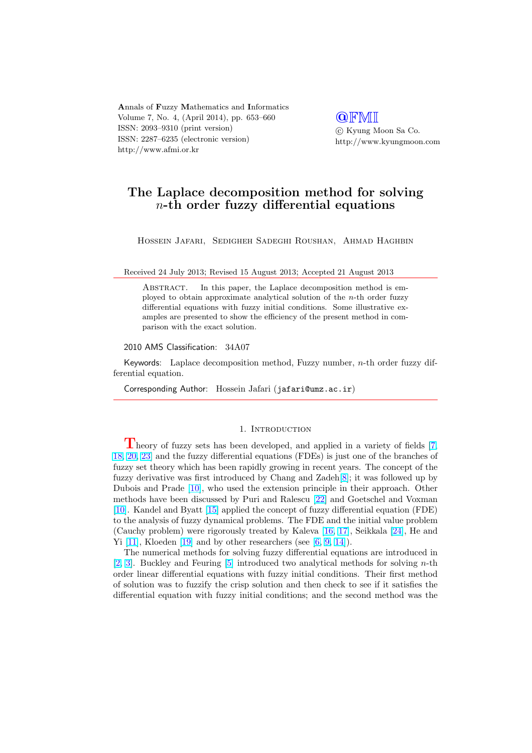Annals of Fuzzy Mathematics and Informatics Volume 7, No. 4, (April 2014), pp. 653–660 ISSN: 2093–9310 (print version) ISSN: 2287–6235 (electronic version) http://www.afmi.or.kr

**QFMI** °c Kyung Moon Sa Co. http://www.kyungmoon.com

# The Laplace decomposition method for solving n-th order fuzzy differential equations

Hossein Jafari, Sedigheh Sadeghi Roushan, Ahmad Haghbin

Received 24 July 2013; Revised 15 August 2013; Accepted 21 August 2013

ABSTRACT. In this paper, the Laplace decomposition method is employed to obtain approximate analytical solution of the n-th order fuzzy differential equations with fuzzy initial conditions. Some illustrative examples are presented to show the efficiency of the present method in comparison with the exact solution.

#### 2010 AMS Classification: 34A07

Keywords: Laplace decomposition method, Fuzzy number, n-th order fuzzy differential equation.

Corresponding Author: Hossein Jafari (jafari@umz.ac.ir)

#### 1. INTRODUCTION

Theory of fuzzy sets has been developed, and applied in a variety of fields [7, 18, 20, 23] and the fuzzy differential equations (FDEs) is just one of the branches of fuzzy set theory which has been rapidly growing in recent years. The concept of the fuzzy derivative was first introduced by Chang and Zadeh[8]; it was followed up by Dubois and Prade [10], who used the extension principle in their approach. Oth[er](#page-6-0) [metho](#page-6-0)[ds h](#page-7-0)ave been discussed by Puri and Ralescu [22] and Goetschel and Voxman [10]. Kandel and Byatt [15] applied the concept of fuzzy differential equation (FDE) to the analysis of fuzzy dynamical problems. The FDE and [th](#page-6-0)e initial value problem (Cauchy problem) [wer](#page-6-0)e rigorously treated by Kaleva [16, 17], Seikkala [24], He and Yi  $[11]$ , Kloeden  $[19]$  and by other researchers (see  $[6, 9, 14]$  $[6, 9, 14]$ ).

[T](#page-6-0)he numerical meth[ods](#page-6-0) for solving fuzzy differential equations are introduced in [2, 3]. Buckley and Feuring [5] introduced two analytical methods for solving n-th order linear differential equations with fuzzy initial c[ondition](#page-6-0)s. Their [first](#page-7-0) method of [solu](#page-6-0)tion was t[o fu](#page-6-0)zzify the crisp solution and th[en check](#page-6-0) to see if it satisfies the differential equation with fuzzy initial conditions; and the second method was the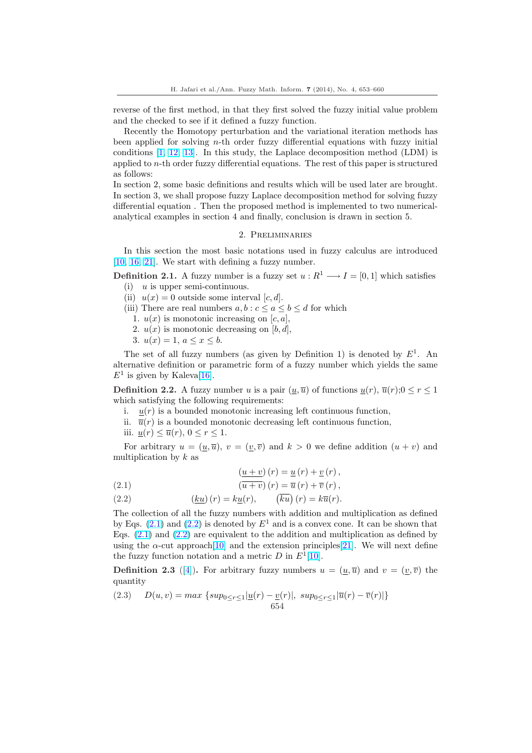reverse of the first method, in that they first solved the fuzzy initial value problem and the checked to see if it defined a fuzzy function.

Recently the Homotopy perturbation and the variational iteration methods has been applied for solving n-th order fuzzy differential equations with fuzzy initial conditions [1, 12, 13]. In this study, the Laplace decomposition method (LDM) is applied to n-th order fuzzy differential equations. The rest of this paper is structured as follows:

In section 2, some basic definitions and results which will be used later are brought. In section 3[, we shall](#page-6-0) propose fuzzy Laplace decomposition method for solving fuzzy differential equation . Then the proposed method is implemented to two numericalanalytical examples in section 4 and finally, conclusion is drawn in section 5.

## 2. Preliminaries

In this section the most basic notations used in fuzzy calculus are introduced [10, 16, 21]. We start with defining a fuzzy number.

**Definition 2.1.** A fuzzy number is a fuzzy set  $u : R^1 \longrightarrow I = [0, 1]$  which satisfies (i)  $u$  is upper semi-continuous.

- (ii)  $u(x) = 0$  outside some interval  $[c, d]$ .
- [\(iii\)](#page-6-0) [The](#page-6-0)re are real numbers  $a, b : c \le a \le b \le d$  for which
	- 1.  $u(x)$  is monotonic increasing on  $[c, a],$
	- 2.  $u(x)$  is monotonic decreasing on  $[b, d]$ ,
	- 3.  $u(x) = 1, a \leq x \leq b$ .

The set of all fuzzy numbers (as given by Definition 1) is denoted by  $E^1$ . An alternative definition or parametric form of a fuzzy number which yields the same  $E^1$  is given by Kaleva[16].

**Definition 2.2.** A fuzzy number u is a pair  $(\underline{u}, \overline{u})$  of functions  $\underline{u}(r), \overline{u}(r);0 \leq r \leq 1$ which satisfying the following requirements:

- i.  $u(r)$  is a bounded monotonic increasing left continuous function,
- ii.  $\overline{u}(r)$  is a bound[ed m](#page-6-0)onotonic decreasing left continuous function,
- iii.  $\underline{u}(r) \leq \overline{u}(r)$ ,  $0 \leq r \leq 1$ .

For arbitrary  $u = (\underline{u}, \overline{u})$ ,  $v = (\underline{v}, \overline{v})$  and  $k > 0$  we define addition  $(u + v)$  and multiplication by  $k$  as

(2.1) 
$$
\frac{(u+v)}{(u+v)}(r) = \underline{u}(r) + \underline{v}(r),
$$

$$
\frac{(u+v)}{(u+v)}(r) = \overline{u}(r) + \overline{v}(r).
$$

(2.1)  
\n
$$
(u + v)(t) = u(t) + v(t),
$$
\n(2.2)  
\n
$$
(ku)(r) = ku(r), \quad (\overline{ku})(r) = k\overline{u}(r).
$$

The collection of all the fuzzy numbers with addition and multiplication as defined  
by Eqs. (2.1) and (2.2) is denoted by 
$$
E^1
$$
 and is a convex cone. It can be shown that  
Eqs. (2.1) and (2.2) are equivalent to the addition and multiplication as defined by  
using the  $\alpha$ -cut approach[10] and the extension principles[21]. We will next define  
the fuzzy function notation and a metric D in  $E^1$ [10].

**Definition 2.3** ([4]). For arbitrary fuzzy numbers  $u = (\underline{u}, \overline{u})$  and  $v = (\underline{v}, \overline{v})$  the quantity

(2.3) 
$$
D(u, v) = max \{ sup_{0 \le r \le 1} |u(r) - \underline{v}(r)|, \ sup_{0 \le r \le 1} |\overline{u}(r) - \overline{v}(r)| \}
$$
654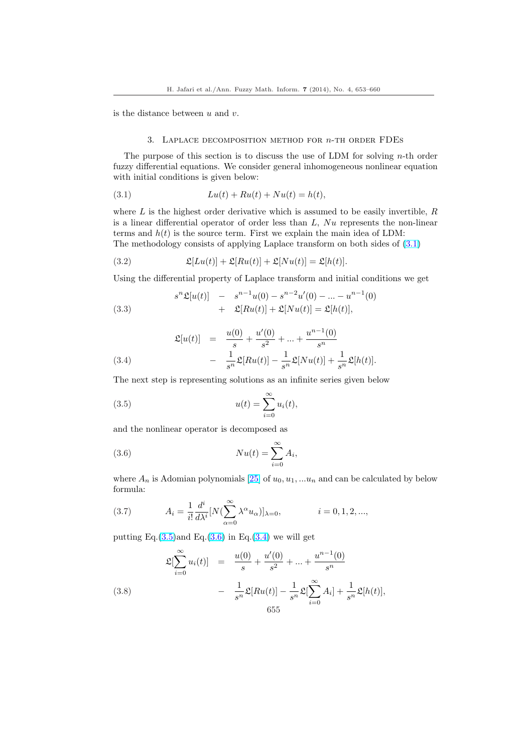<span id="page-2-0"></span>is the distance between  $u$  and  $v$ .

#### 3. LAPLACE DECOMPOSITION METHOD FOR  $n$ -TH ORDER FDEs

The purpose of this section is to discuss the use of LDM for solving  $n$ -th order fuzzy differential equations. We consider general inhomogeneous nonlinear equation with initial conditions is given below:

(3.1) 
$$
Lu(t) + Ru(t) + Nu(t) = h(t),
$$

where  $L$  is the highest order derivative which is assumed to be easily invertible,  $R$ is a linear differential operator of order less than  $L$ ,  $Nu$  represents the non-linear terms and  $h(t)$  is the source term. First we explain the main idea of LDM: The methodology consists of applying Laplace transform on both sides of  $(3.1)$ 

(3.2) 
$$
\mathfrak{L}[Lu(t)] + \mathfrak{L}[Ru(t)] + \mathfrak{L}[Nu(t)] = \mathfrak{L}[h(t)].
$$

Using the differential property of Laplace transform and initial conditions we get

(3.3) 
$$
s^{n} \mathfrak{L}[u(t)] - s^{n-1} u(0) - s^{n-2} u'(0) - \dots - u^{n-1}(0) + \mathfrak{L}[Ru(t)] + \mathfrak{L}[Nu(t)] = \mathfrak{L}[h(t)],
$$

(3.4) 
$$
\mathfrak{L}[u(t)] = \frac{u(0)}{s} + \frac{u'(0)}{s^2} + \dots + \frac{u^{n-1}(0)}{s^n}
$$

$$
- \frac{1}{s^n} \mathfrak{L}[Ru(t)] - \frac{1}{s^n} \mathfrak{L}[Nu(t)] + \frac{1}{s^n} \mathfrak{L}[h(t)].
$$

The next step is representing solutions as an infinite series given below

(3.5) 
$$
u(t) = \sum_{i=0}^{\infty} u_i(t),
$$

and the nonlinear operator is decomposed as

(3.6) 
$$
Nu(t) = \sum_{i=0}^{\infty} A_i,
$$

where  $A_n$  is Adomian polynomials [25] of  $u_0, u_1, \ldots, u_n$  and can be calculated by below formula:

(3.7) 
$$
A_i = \frac{1}{i!} \frac{d^i}{d\lambda^i} [N(\sum_{\alpha=0}^{\infty} \lambda^{\alpha} u_{\alpha})]_{\lambda=0}, \qquad i = 0, 1, 2, ...,
$$

putting Eq. $(3.5)$ and Eq. $(3.6)$  in Eq. $(3.4)$  we will get

(3.8)  
\n
$$
\mathfrak{L}[\sum_{i=0}^{\infty} u_i(t)] = \frac{u(0)}{s} + \frac{u'(0)}{s^2} + \dots + \frac{u^{n-1}(0)}{s^n}
$$
\n
$$
- \frac{1}{s^n} \mathfrak{L}[Ru(t)] - \frac{1}{s^n} \mathfrak{L}[\sum_{i=0}^{\infty} A_i] + \frac{1}{s^n} \mathfrak{L}[h(t)],
$$
\n655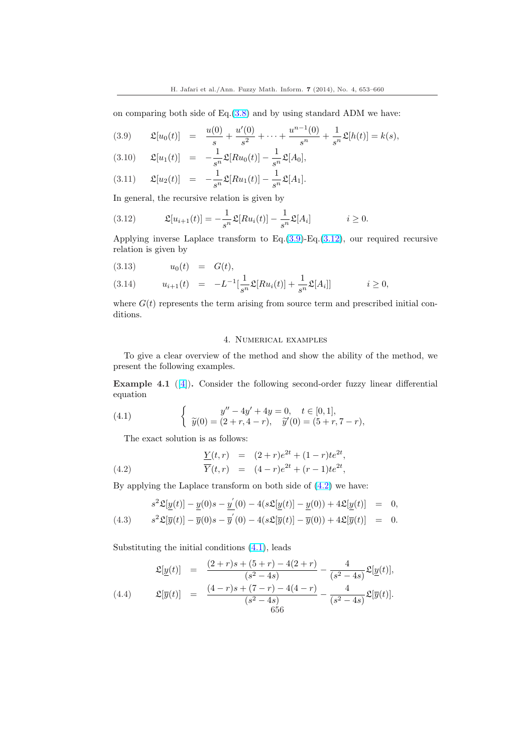<span id="page-3-0"></span>on comparing both side of  $Eq.(3.8)$  and by using standard ADM we have:

(3.9) 
$$
\mathfrak{L}[u_0(t)] = \frac{u(0)}{s} + \frac{u'(0)}{s^2} + \dots + \frac{u^{n-1}(0)}{s^n} + \frac{1}{s^n}\mathfrak{L}[h(t)] = k(s),
$$

(3.10) 
$$
\mathfrak{L}[u_1(t)] = -\frac{1}{s^n} \mathfrak{L}[Ru_0(t)] - \frac{1}{s^n} \mathfrak{L}[A_0],
$$

(3.11) 
$$
\mathfrak{L}[u_2(t)] = -\frac{1}{s^n} \mathfrak{L}[Ru_1(t)] - \frac{1}{s^n} \mathfrak{L}[A_1].
$$

In general, the recursive relation is given by

(3.12) 
$$
\mathfrak{L}[u_{i+1}(t)] = -\frac{1}{s^n} \mathfrak{L}[Ru_i(t)] - \frac{1}{s^n} \mathfrak{L}[A_i] \qquad i \geq 0.
$$

Applying inverse Laplace transform to Eq.(3.9)-Eq.(3.12), our required recursive relation is given by

(3.13) 
$$
u_0(t) = G(t),
$$
  
\n(3.14)  $u_{i+1}(t) = -L^{-1}[\frac{1}{s^n}\mathfrak{L}[Ru_i(t)] + \frac{1}{s^n}\mathfrak{L}[A_i]]$   $i \ge 0,$ 

where  $G(t)$  represents the term arising from source term and prescribed initial conditions.

# 4. Numerical examples

To give a clear overview of the method and show the ability of the method, we present the following examples.

Example 4.1 ([4]). Consider the following second-order fuzzy linear differential equation

(4.1) 
$$
\begin{cases} y'' - 4y' + 4y = 0, \quad t \in [0, 1], \\ \tilde{y}(0) = (2 + r, 4 - r), \quad \tilde{y}'(0) = (5 + r, 7 - r), \end{cases}
$$

The exact solution is as follows:

(4.2) 
$$
\frac{Y(t,r)}{\overline{Y}(t,r)} = (2+r)e^{2t} + (1-r)te^{2t}, \n\overline{Y}(t,r) = (4-r)e^{2t} + (r-1)te^{2t},
$$

By applying the Laplace transform on both side of (4.2) we have:

(4.3) 
$$
s^{2} \mathfrak{L}[\underline{y}(t)] - \underline{y}(0)s - \underline{y}'(0) - 4(s \mathfrak{L}[\underline{y}(t)] - \underline{y}(0)) + 4\mathfrak{L}[\underline{y}(t)] = 0,
$$
  

$$
s^{2} \mathfrak{L}[\overline{y}(t)] - \overline{y}(0)s - \overline{y}'(0) - 4(s \mathfrak{L}[\overline{y}(t)] - \overline{y}(0)) + 4\mathfrak{L}[\overline{y}(t)] = 0.
$$

Substituting the initial conditions  $(4.1)$ , leads

$$
\mathfrak{L}[\underline{y}(t)] = \frac{(2+r)s + (5+r) - 4(2+r)}{(s^2 - 4s)} - \frac{4}{(s^2 - 4s)} \mathfrak{L}[\underline{y}(t)],
$$
\n
$$
\mathfrak{L}[\overline{y}(t)] = \frac{(4-r)s + (7-r) - 4(4-r)}{(s^2 - 4s)} - \frac{4}{(s^2 - 4s)} \mathfrak{L}[\overline{y}(t)].
$$
\n
$$
\mathfrak{L}[\overline{y}(t)] = \frac{(4-r)s + (7-r) - 4(4-r)}{656} - \frac{4}{(s^2 - 4s)} \mathfrak{L}[\overline{y}(t)].
$$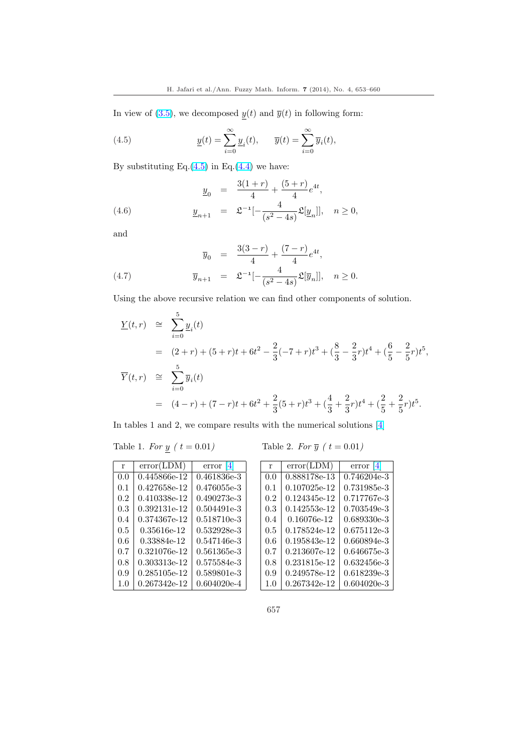<span id="page-4-0"></span>In view of (3.5), we decomposed  $\underline{y}(t)$  and  $\overline{y}(t)$  in following form:

(4.5) 
$$
\underline{y}(t) = \sum_{i=0}^{\infty} \underline{y}_i(t), \quad \overline{y}(t) = \sum_{i=0}^{\infty} \overline{y}_i(t),
$$

By substituting Eq. $(4.5)$  in Eq. $(4.4)$  we have:

(4.6) 
$$
\frac{y_0}{4} = \frac{3(1+r)}{4} + \frac{(5+r)}{4}e^{4t},
$$

$$
\frac{y_{n+1}}{4} = \mathfrak{L}^{-1}[-\frac{4}{(s^2 - 4s)}\mathfrak{L}[\underline{y}_n]], \quad n \ge 0,
$$

and

(4.7) 
$$
\overline{y}_0 = \frac{3(3-r)}{4} + \frac{(7-r)}{4}e^{4t},
$$

$$
\overline{y}_{n+1} = \mathfrak{L}^{-1}[-\frac{4}{(s^2 - 4s)}\mathfrak{L}[\overline{y}_n]], \quad n \ge 0.
$$

Using the above recursive relation we can find other components of solution.

$$
\underline{Y}(t,r) \cong \sum_{i=0}^{5} \underline{y}_i(t)
$$
\n
$$
= (2+r) + (5+r)t + 6t^2 - \frac{2}{3}(-7+r)t^3 + (\frac{8}{3} - \frac{2}{3}r)t^4 + (\frac{6}{5} - \frac{2}{5}r)t^5,
$$
\n
$$
\overline{Y}(t,r) \cong \sum_{i=0}^{5} \overline{y}_i(t)
$$
\n
$$
= (4-r) + (7-r)t + 6t^2 + \frac{2}{3}(5+r)t^3 + (\frac{4}{3} + \frac{2}{3}r)t^4 + (\frac{2}{5} + \frac{2}{5}r)t^5.
$$

In tables 1 and 2, we compare results with the numerical solutions [4]

| r       | error(LDM)   | 4 <br>error   |
|---------|--------------|---------------|
| 0.0     | 0.445866e-12 | 0.461836e-3   |
| 0.1     | 0.427658e-12 | 0.476055e-3   |
| $0.2\,$ | 0.410338e-12 | $0.490273e-3$ |
| 0.3     | 0.392131e-12 | 0.504491e-3   |
| 0.4     | 0.374367e-12 | 0.518710e-3   |
| $0.5\,$ | 0.35616e-12  | 0.532928e-3   |
| 0.6     | 0.33884e-12  | 0.547146e-3   |
| 0.7     | 0.321076e-12 | 0.561365e-3   |
| 0.8     | 0.303313e-12 | 0.575584e-3   |
| 0.9     | 0.285105e-12 | 0.589801e-3   |
| 1.0     | 0.267342e-12 | 0.604020e-4   |

Table 1. For 
$$
y(t = 0.01)
$$
 Table 2. For  $\overline{y}(t = 0.01)$ 

| r   | error(LDM)   | error<br>141  |
|-----|--------------|---------------|
| 0.0 | 0.888178e-13 | 0.746204e-3   |
| 0.1 | 0.107025e-12 | 0.731985e-3   |
| 0.2 | 0.124345e-12 | 0.717767e-3   |
| 0.3 | 0.142553e-12 | 0.703549e-3   |
| 0.4 | 0.16076e-12  | 0.689330e-3   |
| 0.5 | 0.178524e-12 | 0.675112e-3   |
| 0.6 | 0.195843e-12 | 0.660894e-3   |
| 0.7 | 0.213607e-12 | 0.646675e-3   |
| 0.8 | 0.231815e-12 | 0.632456e-3   |
| 0.9 | 0.249578e-12 | $0.618239e-3$ |
| 1.0 | 0.267342e-12 | $0.604020e-3$ |

657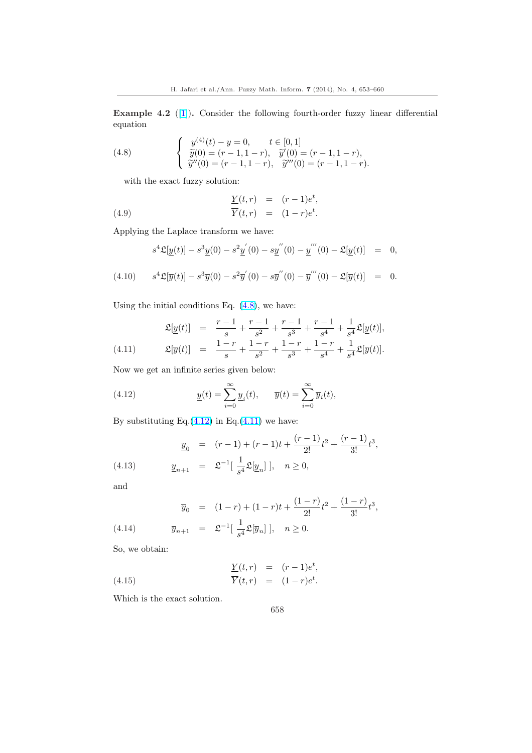Example 4.2 ([1]). Consider the following fourth-order fuzzy linear differential equation

(4.8) 
$$
\begin{cases} y^{(4)}(t) - y = 0, & t \in [0,1] \\ \widetilde{y}(0) = (r-1, 1-r), & \widetilde{y}'(0) = (r-1, 1-r), \\ \widetilde{y}''(0) = (r-1, 1-r), & \widetilde{y}'''(0) = (r-1, 1-r). \end{cases}
$$

with the exact fuzzy solution:

(4.9) 
$$
\frac{Y(t,r)}{\overline{Y}(t,r)} = (r-1)e^t,
$$

$$
\frac{\overline{Y}(t,r)}{(1-r)e^t}.
$$

Applying the Laplace transform we have:

$$
s^{4}\mathfrak{L}[\underline{y}(t)] - s^{3}\underline{y}(0) - s^{2}\underline{y}'(0) - s\underline{y}''(0) - \underline{y}'''(0) - \mathfrak{L}[\underline{y}(t)] = 0,
$$

(4.10) 
$$
s^{4}\mathfrak{L}[\overline{y}(t)] - s^{3}\overline{y}(0) - s^{2}\overline{y}'(0) - s\overline{y}''(0) - \overline{y}'''(0) - \mathfrak{L}[\overline{y}(t)] = 0.
$$

Using the initial conditions Eq.  $(4.8)$ , we have:

(4.11) 
$$
\mathfrak{L}[\underline{y}(t)] = \frac{r-1}{s} + \frac{r-1}{s^2} + \frac{r-1}{s^3} + \frac{r-1}{s^4} + \frac{1}{s^4}\mathfrak{L}[\underline{y}(t)],
$$

$$
\mathfrak{L}[\overline{y}(t)] = \frac{1-r}{s} + \frac{1-r}{s^2} + \frac{1-r}{s^3} + \frac{1-r}{s^4} + \frac{1}{s^4}\mathfrak{L}[\overline{y}(t)].
$$

Now we get an infinite series given below:

(4.12) 
$$
\underline{y}(t) = \sum_{i=0}^{\infty} \underline{y}_i(t), \quad \overline{y}(t) = \sum_{i=0}^{\infty} \overline{y}_i(t),
$$

By substituting Eq. $(4.12)$  in Eq. $(4.11)$  we have:

(4.13) 
$$
\underline{y}_0 = (r-1) + (r-1)t + \frac{(r-1)}{2!}t^2 + \frac{(r-1)}{3!}t^3,
$$

$$
\underline{y}_{n+1} = \mathfrak{L}^{-1}[\frac{1}{s^4}\mathfrak{L}[\underline{y}_n]], \quad n \ge 0,
$$

and

(4.14) 
$$
\overline{y}_0 = (1-r) + (1-r)t + \frac{(1-r)}{2!}t^2 + \frac{(1-r)}{3!}t^3
$$

$$
\overline{y}_{n+1} = \mathfrak{L}^{-1}[\frac{1}{s^4}\mathfrak{L}[\overline{y}_n]], \quad n \ge 0.
$$

So, we obtain:

(4.15) 
$$
\frac{Y(t,r)}{\overline{Y}(t,r)} = (r-1)e^t,
$$

$$
\frac{\overline{Y}(t,r)}{\overline{Y}(t,r)} = (1-r)e^t.
$$

Which is the exact solution.

$$
658\,
$$

,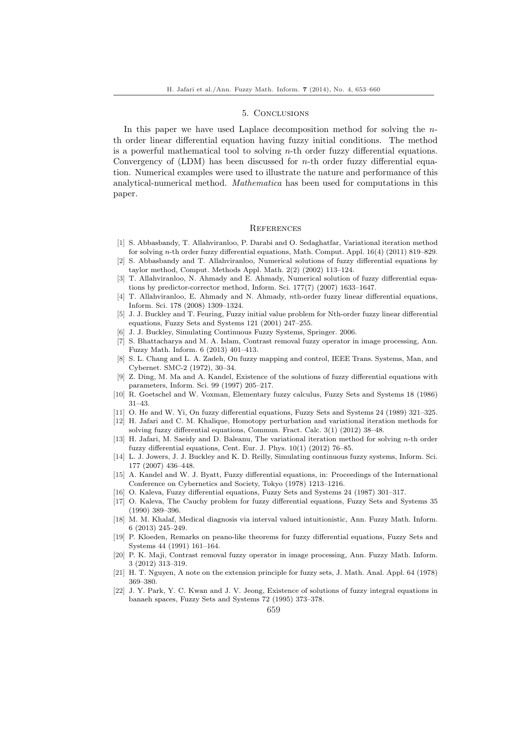#### 5. Conclusions

<span id="page-6-0"></span>In this paper we have used Laplace decomposition method for solving the nth order linear differential equation having fuzzy initial conditions. The method is a powerful mathematical tool to solving  $n$ -th order fuzzy differential equations. Convergency of  $(LDM)$  has been discussed for *n*-th order fuzzy differential equation. Numerical examples were used to illustrate the nature and performance of this analytical-numerical method. Mathematica has been used for computations in this paper.

### **REFERENCES**

- [1] S. Abbasbandy, T. Allahviranloo, P. Darabi and O. Sedaghatfar, Variational iteration method for solving n-th order fuzzy differential equations, Math. Comput. Appl. 16(4) (2011) 819–829.
- [2] S. Abbasbandy and T. Allahviranloo, Numerical solutions of fuzzy differential equations by taylor method, Comput. Methods Appl. Math. 2(2) (2002) 113–124.
- [3] T. Allahviranloo, N. Ahmady and E. Ahmady, Numerical solution of fuzzy differential equations by predictor-corrector method, Inform. Sci. 177(7) (2007) 1633–1647.
- [4] T. Allahviranloo, E. Ahmady and N. Ahmady, nth-order fuzzy linear differential equations, Inform. Sci. 178 (2008) 1309–1324.
- [5] J. J. Buckley and T. Feuring, Fuzzy initial value problem for Nth-order fuzzy linear differential equations, Fuzzy Sets and Systems 121 (2001) 247–255.
- [6] J. J. Buckley, Simulating Continuous Fuzzy Systems, Springer. 2006.
- [7] S. Bhattacharya and M. A. Islam, Contrast removal fuzzy operator in image processing, Ann. Fuzzy Math. Inform. 6 (2013) 401–413.
- [8] S. L. Chang and L. A. Zadeh, On fuzzy mapping and control, IEEE Trans. Systems, Man, and Cybernet. SMC-2 (1972), 30–34.
- [9] Z. Ding, M. Ma and A. Kandel, Existence of the solutions of fuzzy differential equations with parameters, Inform. Sci. 99 (1997) 205–217.
- [10] R. Goetschel and W. Voxman, Elementary fuzzy calculus, Fuzzy Sets and Systems 18 (1986) 31–43.
- [11] O. He and W. Yi, On fuzzy differential equations, Fuzzy Sets and Systems 24 (1989) 321–325.
- [12] H. Jafari and C. M. Khalique, Homotopy perturbation and variational iteration methods for solving fuzzy differential equations, Commun. Fract. Calc. 3(1) (2012) 38–48.
- [13] H. Jafari, M. Saeidy and D. Baleanu, The variational iteration method for solving n-th order fuzzy differential equations, Cent. Eur. J. Phys. 10(1) (2012) 76–85.
- [14] L. J. Jowers, J. J. Buckley and K. D. Reilly, Simulating continuous fuzzy systems, Inform. Sci. 177 (2007) 436–448.
- [15] A. Kandel and W. J. Byatt, Fuzzy differential equations, in: Proceedings of the International Conference on Cybernetics and Society, Tokyo (1978) 1213–1216.
- [16] O. Kaleva, Fuzzy differential equations, Fuzzy Sets and Systems 24 (1987) 301–317.
- [17] O. Kaleva, The Cauchy problem for fuzzy differential equations, Fuzzy Sets and Systems 35 (1990) 389–396.
- [18] M. M. Khalaf, Medical diagnosis via interval valued intuitionistic, Ann. Fuzzy Math. Inform. 6 (2013) 245–249.
- [19] P. Kloeden, Remarks on peano-like theorems for fuzzy differential equations, Fuzzy Sets and Systems 44 (1991) 161–164.
- [20] P. K. Maji, Contrast removal fuzzy operator in image processing, Ann. Fuzzy Math. Inform. 3 (2012) 313–319.
- [21] H. T. Nguyen, A note on the extension principle for fuzzy sets, J. Math. Anal. Appl. 64 (1978) 369–380.
- [22] J. Y. Park, Y. C. Kwan and J. V. Jeong, Existence of solutions of fuzzy integral equations in banaeh spaces, Fuzzy Sets and Systems 72 (1995) 373–378.